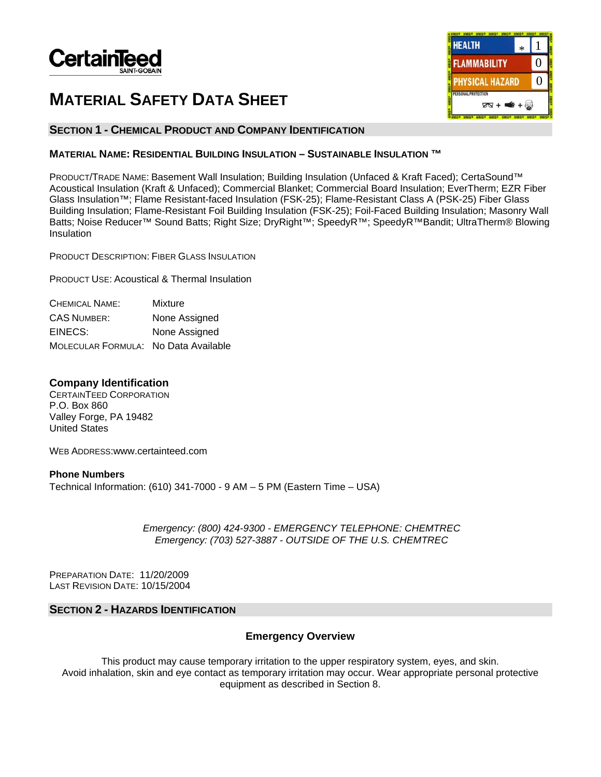

# **MATERIAL SAFETY DATA SHEET**

# **SECTION 1 - CHEMICAL PRODUCT AND COMPANY IDENTIFICATION**

# **MATERIAL NAME: RESIDENTIAL BUILDING INSULATION – SUSTAINABLE INSULATION ™**

PRODUCT/TRADE NAME: Basement Wall Insulation; Building Insulation (Unfaced & Kraft Faced); CertaSound™ Acoustical Insulation (Kraft & Unfaced); Commercial Blanket; Commercial Board Insulation; EverTherm; EZR Fiber Glass Insulation™; Flame Resistant-faced Insulation (FSK-25); Flame-Resistant Class A (PSK-25) Fiber Glass Building Insulation; Flame-Resistant Foil Building Insulation (FSK-25); Foil-Faced Building Insulation; Masonry Wall Batts; Noise Reducer™ Sound Batts; Right Size; DryRight™; SpeedyR™; SpeedyR™Bandit; UltraTherm® Blowing Insulation

PRODUCT DESCRIPTION: FIBER GLASS INSULATION

PRODUCT USE: Acoustical & Thermal Insulation

| CHEMICAL NAME:                       | Mixture       |
|--------------------------------------|---------------|
| <b>CAS NUMBER:</b>                   | None Assigned |
| EINECS:                              | None Assigned |
| MOLECULAR FORMULA: No Data Available |               |

# **Company Identification**

CERTAINTEED CORPORATION P.O. Box 860 Valley Forge, PA 19482 United States

WEB ADDRESS:www.certainteed.com

**Phone Numbers**  Technical Information: (610) 341-7000 - 9 AM – 5 PM (Eastern Time – USA)

> *Emergency: (800) 424-9300 - EMERGENCY TELEPHONE: CHEMTREC Emergency: (703) 527-3887 - OUTSIDE OF THE U.S. CHEMTREC*

PREPARATION DATE: 11/20/2009 LAST REVISION DATE: 10/15/2004

# **SECTION 2 - HAZARDS IDENTIFICATION**

# **Emergency Overview**

This product may cause temporary irritation to the upper respiratory system, eyes, and skin. Avoid inhalation, skin and eye contact as temporary irritation may occur. Wear appropriate personal protective equipment as described in Section 8.

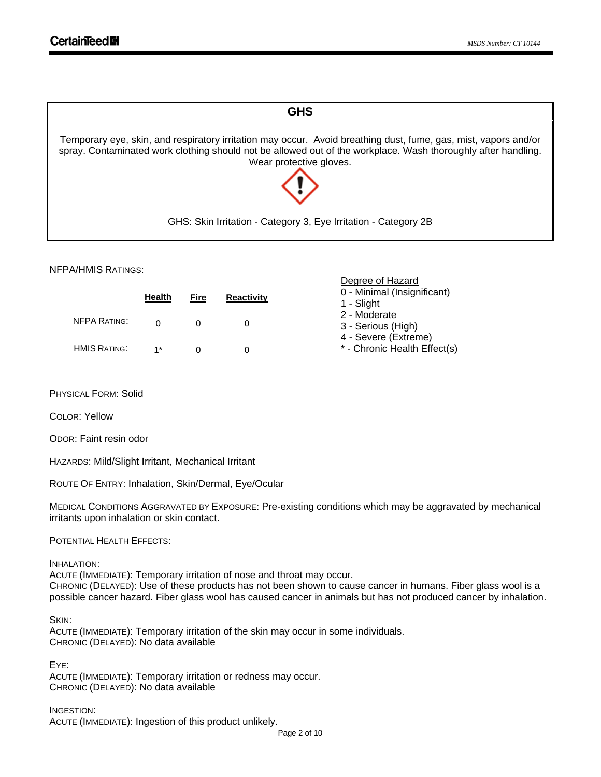

Degree of Hazard

### NFPA/HMIS RATINGS:

|                     | <b>Health</b> | Fire | <b>Reactivity</b> | 0 - Minimal (Insignificant)<br>1 - Slight            |
|---------------------|---------------|------|-------------------|------------------------------------------------------|
| <b>NFPA RATING:</b> |               |      |                   | 2 - Moderate<br>3 - Serious (High)                   |
| <b>HMIS RATING:</b> | $1*$          |      |                   | 4 - Severe (Extreme)<br>* - Chronic Health Effect(s) |

PHYSICAL FORM: Solid

COLOR: Yellow

ODOR: Faint resin odor

HAZARDS: Mild/Slight Irritant, Mechanical Irritant

ROUTE OF ENTRY: Inhalation, Skin/Dermal, Eye/Ocular

MEDICAL CONDITIONS AGGRAVATED BY EXPOSURE: Pre-existing conditions which may be aggravated by mechanical irritants upon inhalation or skin contact.

POTENTIAL HEALTH EFFECTS:

### INHALATION:

ACUTE (IMMEDIATE): Temporary irritation of nose and throat may occur. CHRONIC (DELAYED): Use of these products has not been shown to cause cancer in humans. Fiber glass wool is a possible cancer hazard. Fiber glass wool has caused cancer in animals but has not produced cancer by inhalation.

SKIN:

ACUTE (IMMEDIATE): Temporary irritation of the skin may occur in some individuals. CHRONIC (DELAYED): No data available

EYE:

ACUTE (IMMEDIATE): Temporary irritation or redness may occur. CHRONIC (DELAYED): No data available

INGESTION: ACUTE (IMMEDIATE): Ingestion of this product unlikely.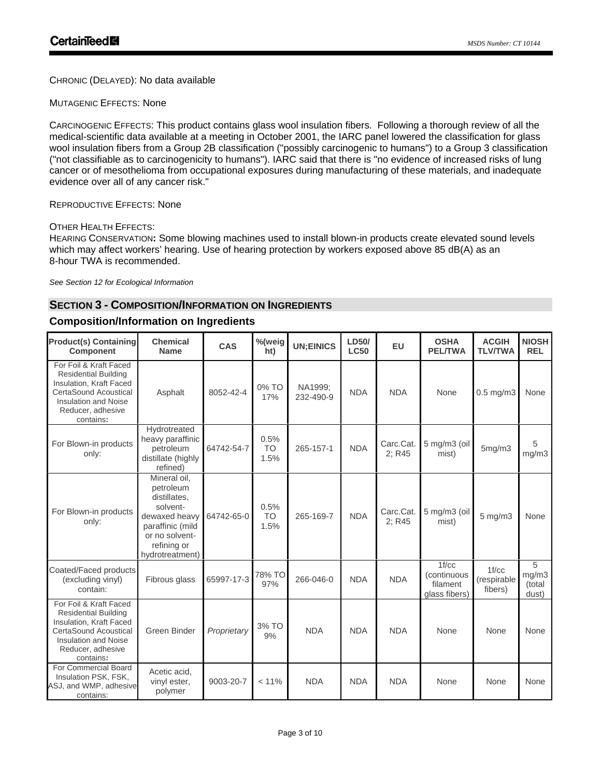CHRONIC (DELAYED): No data available

MUTAGENIC EFFECTS: None

CARCINOGENIC EFFECTS: This product contains glass wool insulation fibers. Following a thorough review of all the medical-scientific data available at a meeting in October 2001, the IARC panel lowered the classification for glass wool insulation fibers from a Group 2B classification ("possibly carcinogenic to humans") to a Group 3 classification ("not classifiable as to carcinogenicity to humans"). IARC said that there is "no evidence of increased risks of lung cancer or of mesothelioma from occupational exposures during manufacturing of these materials, and inadequate evidence over all of any cancer risk."

# REPRODUCTIVE EFFECTS: None

### OTHER HEALTH EFFECTS:

HEARING CONSERVATION**:** Some blowing machines used to install blown-in products create elevated sound levels which may affect workers' hearing. Use of hearing protection by workers exposed above 85 dB(A) as an 8-hour TWA is recommended.

*See Section 12 for Ecological Information*

# **SECTION 3 - COMPOSITION/INFORMATION ON INGREDIENTS**

# **Composition/Information on Ingredients**

| <b>Product(s) Containing</b><br><b>Component</b>                                                                                                                           | <b>Chemical</b><br><b>Name</b>                                                                                                                 | CAS         | %(weig<br>ht)             | <b>UN;EINICS</b>     | LD50/<br><b>LC50</b> | EU                  | <b>OSHA</b><br><b>PEL/TWA</b>                     | <b>ACGIH</b><br><b>TLV/TWA</b>  | <b>NIOSH</b><br><b>REL</b>    |
|----------------------------------------------------------------------------------------------------------------------------------------------------------------------------|------------------------------------------------------------------------------------------------------------------------------------------------|-------------|---------------------------|----------------------|----------------------|---------------------|---------------------------------------------------|---------------------------------|-------------------------------|
| For Foil & Kraft Faced<br><b>Residential Building</b><br>Insulation, Kraft Faced<br>CertaSound Acoustical<br><b>Insulation and Noise</b><br>Reducer, adhesive<br>contains: | Asphalt                                                                                                                                        | 8052-42-4   | 0% TO<br>17%              | NA1999:<br>232-490-9 | <b>NDA</b>           | <b>NDA</b>          | None                                              | $0.5$ mg/m $3$                  | None                          |
| For Blown-in products<br>only:                                                                                                                                             | Hydrotreated<br>heavy paraffinic<br>petroleum<br>distillate (highly<br>refined)                                                                | 64742-54-7  | 0.5%<br><b>TO</b><br>1.5% | 265-157-1            | <b>NDA</b>           | Carc.Cat.<br>2; R45 | 5 mg/m3 (oil<br>mist)                             | 5mg/m3                          | 5<br>mg/m3                    |
| For Blown-in products<br>only:                                                                                                                                             | Mineral oil.<br>petroleum<br>distillates.<br>solvent-<br>dewaxed heavy<br>paraffinic (mild<br>or no solvent-<br>refining or<br>hydrotreatment) | 64742-65-0  | 0.5%<br><b>TO</b><br>1.5% | 265-169-7            | <b>NDA</b>           | Carc.Cat.<br>2: R45 | 5 mg/m3 (oil<br>mist)                             | $5$ mg/m $3$                    | None                          |
| Coated/Faced products<br>(excluding vinyl)<br>contain:                                                                                                                     | Fibrous glass                                                                                                                                  | 65997-17-3  | 78% TO<br>97%             | 266-046-0            | <b>NDA</b>           | <b>NDA</b>          | 1f/cc<br>(continuous<br>filament<br>glass fibers) | 1f/cc<br>(respirable<br>fibers) | 5<br>mg/m3<br>(total<br>dust) |
| For Foil & Kraft Faced<br><b>Residential Building</b><br>Insulation, Kraft Faced<br>CertaSound Acoustical<br><b>Insulation and Noise</b><br>Reducer, adhesive<br>contains: | Green Binder                                                                                                                                   | Proprietary | 3% TO<br>9%               | <b>NDA</b>           | <b>NDA</b>           | <b>NDA</b>          | None                                              | None                            | None                          |
| For Commercial Board<br>Insulation PSK, FSK,<br>ASJ, and WMP, adhesive<br>contains:                                                                                        | Acetic acid,<br>vinyl ester,<br>polymer                                                                                                        | 9003-20-7   | < 11%                     | <b>NDA</b>           | <b>NDA</b>           | <b>NDA</b>          | None                                              | None                            | None                          |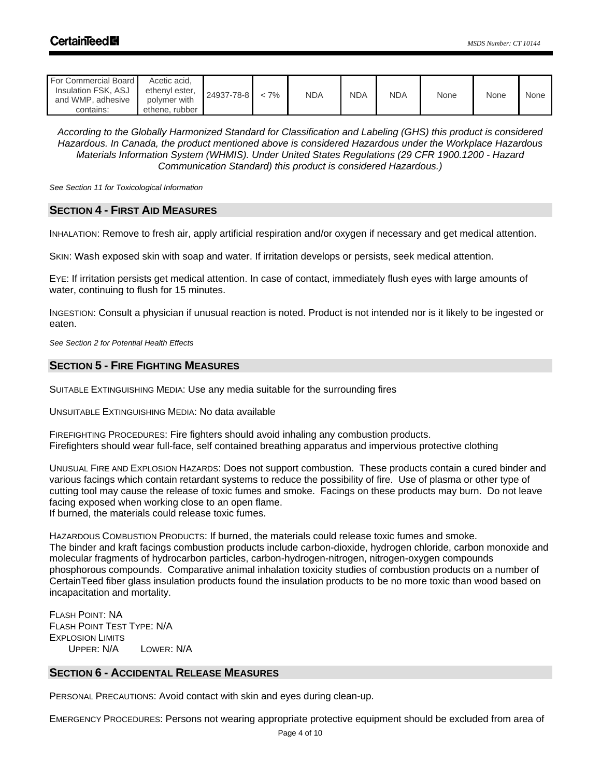| For Commercial Board<br>Insulation FSK, ASJ<br>and WMP, adhesive<br>contains: | Acetic acid.<br>ethenyl ester,<br>polymer with<br>ethene, rubber | 24937-78-8 | $< 7\%$ | <b>NDA</b> | <b>NDA</b> | <b>NDA</b> | None | None | None |
|-------------------------------------------------------------------------------|------------------------------------------------------------------|------------|---------|------------|------------|------------|------|------|------|
|-------------------------------------------------------------------------------|------------------------------------------------------------------|------------|---------|------------|------------|------------|------|------|------|

*According to the Globally Harmonized Standard for Classification and Labeling (GHS) this product is considered Hazardous. In Canada, the product mentioned above is considered Hazardous under the Workplace Hazardous Materials Information System (WHMIS). Under United States Regulations (29 CFR 1900.1200 - Hazard Communication Standard) this product is considered Hazardous.)* 

*See Section 11 for Toxicological Information* 

### **SECTION 4 - FIRST AID MEASURES**

INHALATION: Remove to fresh air, apply artificial respiration and/or oxygen if necessary and get medical attention.

SKIN: Wash exposed skin with soap and water. If irritation develops or persists, seek medical attention.

EYE: If irritation persists get medical attention. In case of contact, immediately flush eyes with large amounts of water, continuing to flush for 15 minutes.

INGESTION: Consult a physician if unusual reaction is noted. Product is not intended nor is it likely to be ingested or eaten.

*See Section 2 for Potential Health Effects*

# **SECTION 5 - FIRE FIGHTING MEASURES**

SUITABLE EXTINGUISHING MEDIA: Use any media suitable for the surrounding fires

UNSUITABLE EXTINGUISHING MEDIA: No data available

FIREFIGHTING PROCEDURES: Fire fighters should avoid inhaling any combustion products. Firefighters should wear full-face, self contained breathing apparatus and impervious protective clothing

UNUSUAL FIRE AND EXPLOSION HAZARDS: Does not support combustion. These products contain a cured binder and various facings which contain retardant systems to reduce the possibility of fire. Use of plasma or other type of cutting tool may cause the release of toxic fumes and smoke. Facings on these products may burn. Do not leave facing exposed when working close to an open flame. If burned, the materials could release toxic fumes.

HAZARDOUS COMBUSTION PRODUCTS: If burned, the materials could release toxic fumes and smoke. The binder and kraft facings combustion products include carbon-dioxide, hydrogen chloride, carbon monoxide and molecular fragments of hydrocarbon particles, carbon-hydrogen-nitrogen, nitrogen-oxygen compounds phosphorous compounds. Comparative animal inhalation toxicity studies of combustion products on a number of CertainTeed fiber glass insulation products found the insulation products to be no more toxic than wood based on incapacitation and mortality.

FLASH POINT: NA FLASH POINT TEST TYPE: N/A EXPLOSION LIMITS UPPER: N/A LOWER: N/A

# **SECTION 6 - ACCIDENTAL RELEASE MEASURES**

PERSONAL PRECAUTIONS: Avoid contact with skin and eyes during clean-up.

EMERGENCY PROCEDURES: Persons not wearing appropriate protective equipment should be excluded from area of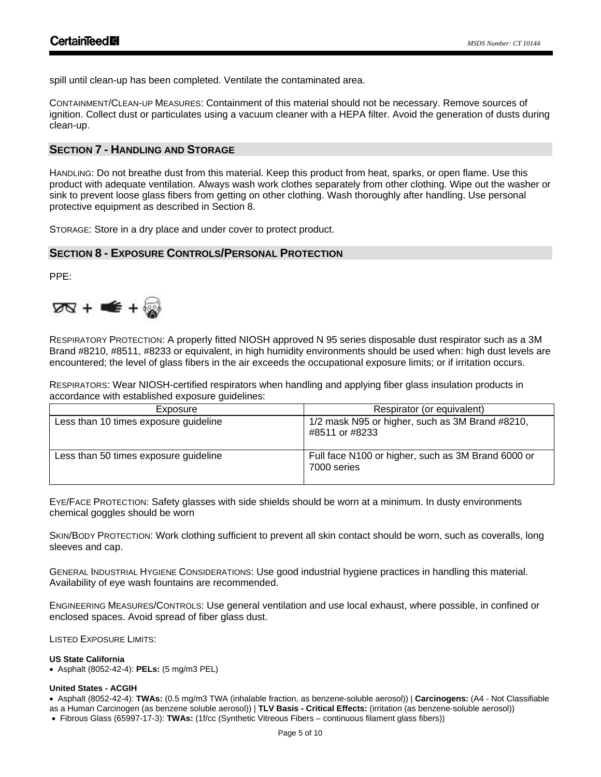spill until clean-up has been completed. Ventilate the contaminated area.

CONTAINMENT/CLEAN-UP MEASURES: Containment of this material should not be necessary. Remove sources of ignition. Collect dust or particulates using a vacuum cleaner with a HEPA filter. Avoid the generation of dusts during clean-up.

# **SECTION 7 - HANDLING AND STORAGE**

HANDLING: Do not breathe dust from this material. Keep this product from heat, sparks, or open flame. Use this product with adequate ventilation. Always wash work clothes separately from other clothing. Wipe out the washer or sink to prevent loose glass fibers from getting on other clothing. Wash thoroughly after handling. Use personal protective equipment as described in Section 8.

STORAGE: Store in a dry place and under cover to protect product.

# **SECTION 8 - EXPOSURE CONTROLS/PERSONAL PROTECTION**

PPE:



RESPIRATORY PROTECTION: A properly fitted NIOSH approved N 95 series disposable dust respirator such as a 3M Brand #8210, #8511, #8233 or equivalent, in high humidity environments should be used when: high dust levels are encountered; the level of glass fibers in the air exceeds the occupational exposure limits; or if irritation occurs.

RESPIRATORS: Wear NIOSH-certified respirators when handling and applying fiber glass insulation products in accordance with established exposure guidelines:

| Exposure                              | Respirator (or equivalent)                                        |
|---------------------------------------|-------------------------------------------------------------------|
| Less than 10 times exposure guideline | 1/2 mask N95 or higher, such as 3M Brand #8210,<br>#8511 or #8233 |
| Less than 50 times exposure guideline | Full face N100 or higher, such as 3M Brand 6000 or<br>7000 series |

EYE/FACE PROTECTION: Safety glasses with side shields should be worn at a minimum. In dusty environments chemical goggles should be worn

SKIN/BODY PROTECTION: Work clothing sufficient to prevent all skin contact should be worn, such as coveralls, long sleeves and cap.

GENERAL INDUSTRIAL HYGIENE CONSIDERATIONS: Use good industrial hygiene practices in handling this material. Availability of eye wash fountains are recommended.

ENGINEERING MEASURES/CONTROLS: Use general ventilation and use local exhaust, where possible, in confined or enclosed spaces. Avoid spread of fiber glass dust.

LISTED EXPOSURE LIMITS:

### **US State California**

• Asphalt (8052-42-4): **PELs:** (5 mg/m3 PEL)

### **United States - ACGIH**

• Asphalt (8052-42-4): **TWAs:** (0.5 mg/m3 TWA (inhalable fraction, as benzene-soluble aerosol)) | **Carcinogens:** (A4 - Not Classifiable

as a Human Carcinogen (as benzene soluble aerosol)) | **TLV Basis - Critical Effects:** (irritation (as benzene-soluble aerosol)) • Fibrous Glass (65997-17-3): **TWAs:** (1f/cc (Synthetic Vitreous Fibers – continuous filament glass fibers))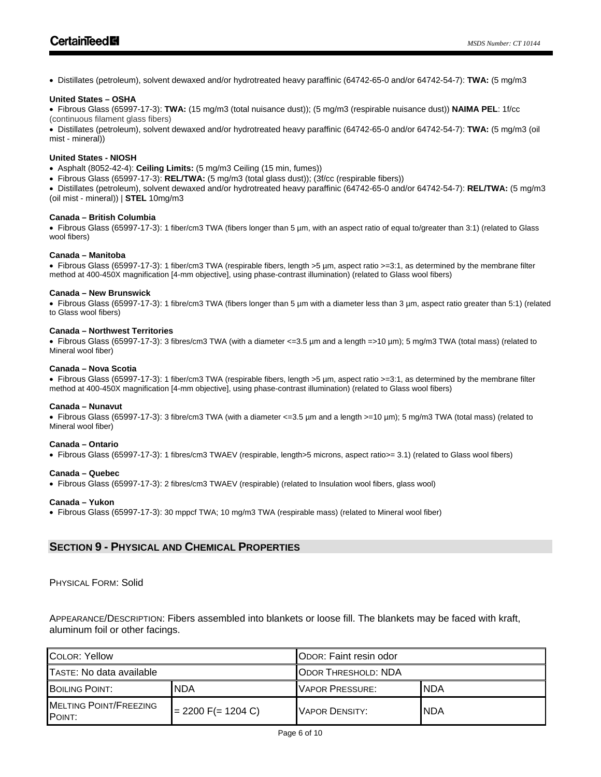• Distillates (petroleum), solvent dewaxed and/or hydrotreated heavy paraffinic (64742-65-0 and/or 64742-54-7): **TWA:** (5 mg/m3

#### **United States – OSHA**

• Fibrous Glass (65997-17-3): **TWA:** (15 mg/m3 (total nuisance dust)); (5 mg/m3 (respirable nuisance dust)) **NAIMA PEL**: 1f/cc (continuous filament glass fibers)

• Distillates (petroleum), solvent dewaxed and/or hydrotreated heavy paraffinic (64742-65-0 and/or 64742-54-7): **TWA:** (5 mg/m3 (oil mist - mineral))

#### **United States - NIOSH**

- Asphalt (8052-42-4): **Ceiling Limits:** (5 mg/m3 Ceiling (15 min, fumes))
- Fibrous Glass (65997-17-3): **REL/TWA:** (5 mg/m3 (total glass dust)); (3f/cc (respirable fibers))

• Distillates (petroleum), solvent dewaxed and/or hydrotreated heavy paraffinic (64742-65-0 and/or 64742-54-7): **REL/TWA:** (5 mg/m3 (oil mist - mineral)) | **STEL** 10mg/m3

#### **Canada – British Columbia**

• Fibrous Glass (65997-17-3): 1 fiber/cm3 TWA (fibers longer than 5 µm, with an aspect ratio of equal to/greater than 3:1) (related to Glass wool fibers)

#### **Canada – Manitoba**

• Fibrous Glass (65997-17-3): 1 fiber/cm3 TWA (respirable fibers, length >5 µm, aspect ratio >=3:1, as determined by the membrane filter method at 400-450X magnification [4-mm objective], using phase-contrast illumination) (related to Glass wool fibers)

#### **Canada – New Brunswick**

• Fibrous Glass (65997-17-3): 1 fibre/cm3 TWA (fibers longer than 5 µm with a diameter less than 3 µm, aspect ratio greater than 5:1) (related to Glass wool fibers)

#### **Canada – Northwest Territories**

• Fibrous Glass (65997-17-3): 3 fibres/cm3 TWA (with a diameter <=3.5 µm and a length =>10 µm); 5 mg/m3 TWA (total mass) (related to Mineral wool fiber)

#### **Canada – Nova Scotia**

• Fibrous Glass (65997-17-3): 1 fiber/cm3 TWA (respirable fibers, length >5 µm, aspect ratio >=3:1, as determined by the membrane filter method at 400-450X magnification [4-mm objective], using phase-contrast illumination) (related to Glass wool fibers)

#### **Canada – Nunavut**

• Fibrous Glass (65997-17-3): 3 fibre/cm3 TWA (with a diameter <=3.5 µm and a length >=10 µm); 5 mg/m3 TWA (total mass) (related to Mineral wool fiber)

#### **Canada – Ontario**

• Fibrous Glass (65997-17-3): 1 fibres/cm3 TWAEV (respirable, length>5 microns, aspect ratio>= 3.1) (related to Glass wool fibers)

#### **Canada – Quebec**

• Fibrous Glass (65997-17-3): 2 fibres/cm3 TWAEV (respirable) (related to Insulation wool fibers, glass wool)

#### **Canada – Yukon**

• Fibrous Glass (65997-17-3): 30 mppcf TWA; 10 mg/m3 TWA (respirable mass) (related to Mineral wool fiber)

# **SECTION 9 - PHYSICAL AND CHEMICAL PROPERTIES**

PHYSICAL FORM: Solid

APPEARANCE/DESCRIPTION: Fibers assembled into blankets or loose fill. The blankets may be faced with kraft, aluminum foil or other facings.

| <b>COLOR: Yellow</b>                    |                      | <b>IODOR: Faint resin odor</b> |      |  |  |
|-----------------------------------------|----------------------|--------------------------------|------|--|--|
| <b>ITASTE: No data available</b>        |                      | <b>ODOR THRESHOLD: NDA</b>     |      |  |  |
| <b>BOILING POINT:</b>                   | <b>NDA</b>           | <b>VAPOR PRESSURE:</b>         | INDA |  |  |
| <b>MELTING POINT/FREEZING</b><br>POINT: | $= 2200$ F(= 1204 C) | VAPOR DENSITY:                 | INDA |  |  |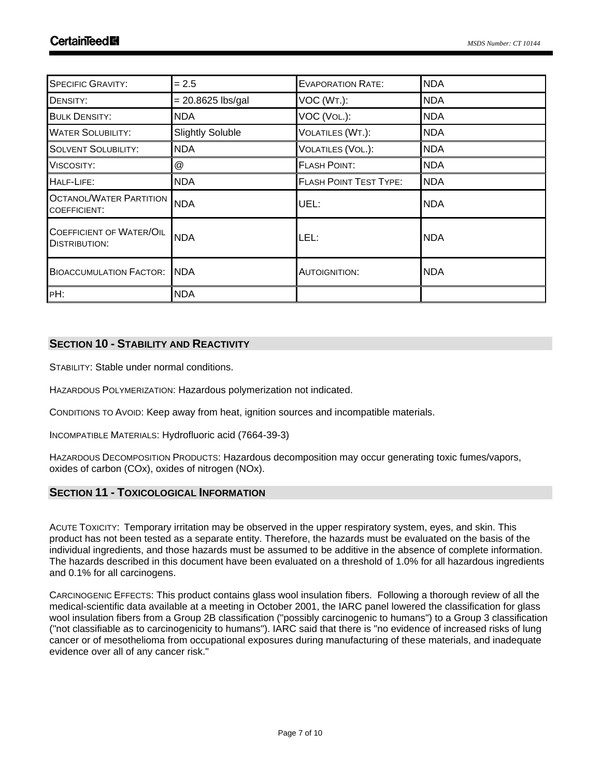| <b>SPECIFIC GRAVITY:</b>                                | $= 2.5$                 | <b>EVAPORATION RATE:</b>      | <b>NDA</b> |
|---------------------------------------------------------|-------------------------|-------------------------------|------------|
| DENSITY:                                                | $= 20.8625$ lbs/gal     | VOC (WT.):                    | <b>NDA</b> |
| <b>BULK DENSITY:</b>                                    | <b>NDA</b>              | VOC (VOL.):                   | <b>NDA</b> |
| <b>WATER SOLUBILITY:</b>                                | <b>Slightly Soluble</b> | VOLATILES (WT.):              | <b>NDA</b> |
| <b>SOLVENT SOLUBILITY:</b>                              | <b>NDA</b>              | VOLATILES (VOL.):             | <b>NDA</b> |
| VISCOSITY:                                              | $^\copyright$           | <b>FLASH POINT:</b>           | <b>NDA</b> |
| HALF-LIFE:                                              | <b>NDA</b>              | <b>FLASH POINT TEST TYPE:</b> | <b>NDA</b> |
| <b>OCTANOL/WATER PARTITION</b><br>COEFFICIENT:          | <b>NDA</b>              | UEL:                          | <b>NDA</b> |
| <b>COEFFICIENT OF WATER/OIL</b><br><b>DISTRIBUTION:</b> | <b>NDA</b>              | LEL:                          | <b>NDA</b> |
| <b>BIOACCUMULATION FACTOR:</b>                          | INDA                    | AUTOIGNITION:                 | <b>NDA</b> |
| PH:                                                     | <b>NDA</b>              |                               |            |

# **SECTION 10 - STABILITY AND REACTIVITY**

STABILITY: Stable under normal conditions.

HAZARDOUS POLYMERIZATION: Hazardous polymerization not indicated.

CONDITIONS TO AVOID: Keep away from heat, ignition sources and incompatible materials.

INCOMPATIBLE MATERIALS: Hydrofluoric acid (7664-39-3)

HAZARDOUS DECOMPOSITION PRODUCTS: Hazardous decomposition may occur generating toxic fumes/vapors, oxides of carbon (COx), oxides of nitrogen (NOx).

# **SECTION 11 - TOXICOLOGICAL INFORMATION**

ACUTE TOXICITY: Temporary irritation may be observed in the upper respiratory system, eyes, and skin. This product has not been tested as a separate entity. Therefore, the hazards must be evaluated on the basis of the individual ingredients, and those hazards must be assumed to be additive in the absence of complete information. The hazards described in this document have been evaluated on a threshold of 1.0% for all hazardous ingredients and 0.1% for all carcinogens.

CARCINOGENIC EFFECTS: This product contains glass wool insulation fibers. Following a thorough review of all the medical-scientific data available at a meeting in October 2001, the IARC panel lowered the classification for glass wool insulation fibers from a Group 2B classification ("possibly carcinogenic to humans") to a Group 3 classification ("not classifiable as to carcinogenicity to humans"). IARC said that there is "no evidence of increased risks of lung cancer or of mesothelioma from occupational exposures during manufacturing of these materials, and inadequate evidence over all of any cancer risk."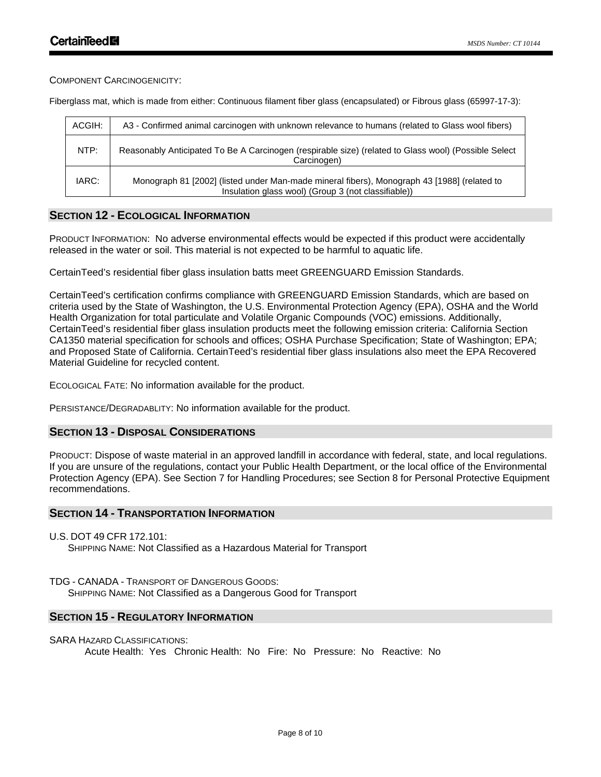COMPONENT CARCINOGENICITY:

Fiberglass mat, which is made from either: Continuous filament fiber glass (encapsulated) or Fibrous glass (65997-17-3):

| ACGIH: | A3 - Confirmed animal carcinogen with unknown relevance to humans (related to Glass wool fibers)                                                   |
|--------|----------------------------------------------------------------------------------------------------------------------------------------------------|
| NTP:   | Reasonably Anticipated To Be A Carcinogen (respirable size) (related to Glass wool) (Possible Select<br>Carcinogen)                                |
| IARC:  | Monograph 81 [2002] (listed under Man-made mineral fibers), Monograph 43 [1988] (related to<br>Insulation glass wool) (Group 3 (not classifiable)) |

# **SECTION 12 - ECOLOGICAL INFORMATION**

PRODUCT INFORMATION: No adverse environmental effects would be expected if this product were accidentally released in the water or soil. This material is not expected to be harmful to aquatic life.

CertainTeed's residential fiber glass insulation batts meet GREENGUARD Emission Standards.

CertainTeed's certification confirms compliance with GREENGUARD Emission Standards, which are based on criteria used by the State of Washington, the U.S. Environmental Protection Agency (EPA), OSHA and the World Health Organization for total particulate and Volatile Organic Compounds (VOC) emissions. Additionally, CertainTeed's residential fiber glass insulation products meet the following emission criteria: California Section CA1350 material specification for schools and offices; OSHA Purchase Specification; State of Washington; EPA; and Proposed State of California. CertainTeed's residential fiber glass insulations also meet the EPA Recovered Material Guideline for recycled content.

ECOLOGICAL FATE: No information available for the product.

PERSISTANCE/DEGRADABLITY: No information available for the product.

### **SECTION 13 - DISPOSAL CONSIDERATIONS**

PRODUCT: Dispose of waste material in an approved landfill in accordance with federal, state, and local regulations. If you are unsure of the regulations, contact your Public Health Department, or the local office of the Environmental Protection Agency (EPA). See Section 7 for Handling Procedures; see Section 8 for Personal Protective Equipment recommendations.

### **SECTION 14 - TRANSPORTATION INFORMATION**

U.S. DOT 49 CFR 172.101:

SHIPPING NAME: Not Classified as a Hazardous Material for Transport

### TDG - CANADA - TRANSPORT OF DANGEROUS GOODS:

SHIPPING NAME: Not Classified as a Dangerous Good for Transport

# **SECTION 15 - REGULATORY INFORMATION**

### SARA HAZARD CLASSIFICATIONS:

Acute Health: Yes Chronic Health: No Fire: No Pressure: No Reactive: No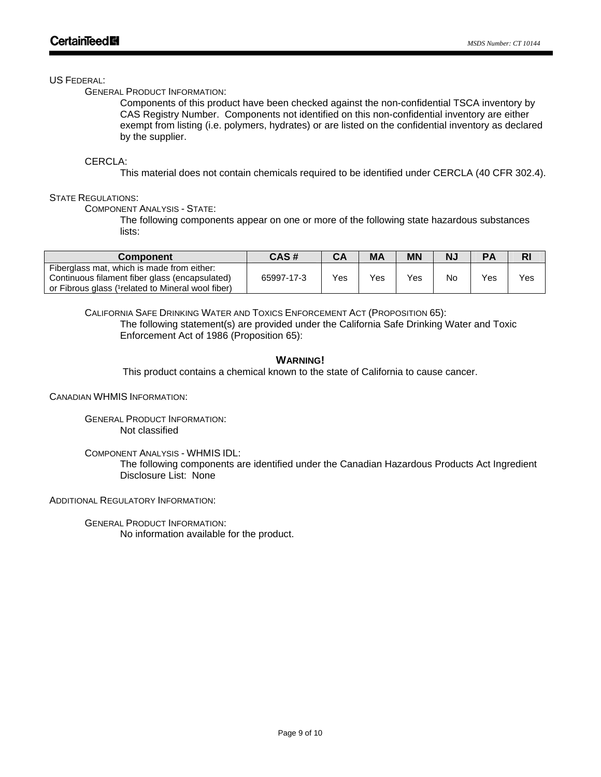### US FEDERAL:

GENERAL PRODUCT INFORMATION:

Components of this product have been checked against the non-confidential TSCA inventory by CAS Registry Number. Components not identified on this non-confidential inventory are either exempt from listing (i.e. polymers, hydrates) or are listed on the confidential inventory as declared by the supplier.

# CERCLA:

This material does not contain chemicals required to be identified under CERCLA (40 CFR 302.4).

# STATE REGULATIONS'

COMPONENT ANALYSIS - STATE:

The following components appear on one or more of the following state hazardous substances lists:

| Component                                                                                                                                          | CAS#       | СA  | <b>MA</b> | ΜN                | N. | PA  | RI  |
|----------------------------------------------------------------------------------------------------------------------------------------------------|------------|-----|-----------|-------------------|----|-----|-----|
| Fiberglass mat, which is made from either:<br>Continuous filament fiber glass (encapsulated)<br>or Fibrous glass (1 related to Mineral wool fiber) | 65997-17-3 | Yes | Yes       | $V_{\mathsf{e}s}$ | Nc | Yes | Yes |

CALIFORNIA SAFE DRINKING WATER AND TOXICS ENFORCEMENT ACT (PROPOSITION 65): The following statement(s) are provided under the California Safe Drinking Water and Toxic Enforcement Act of 1986 (Proposition 65):

### **WARNING!**

This product contains a chemical known to the state of California to cause cancer.

CANADIAN WHMIS INFORMATION:

GENERAL PRODUCT INFORMATION: Not classified

COMPONENT ANALYSIS - WHMIS IDL:

The following components are identified under the Canadian Hazardous Products Act Ingredient Disclosure List: None

ADDITIONAL REGULATORY INFORMATION:

GENERAL PRODUCT INFORMATION: No information available for the product.